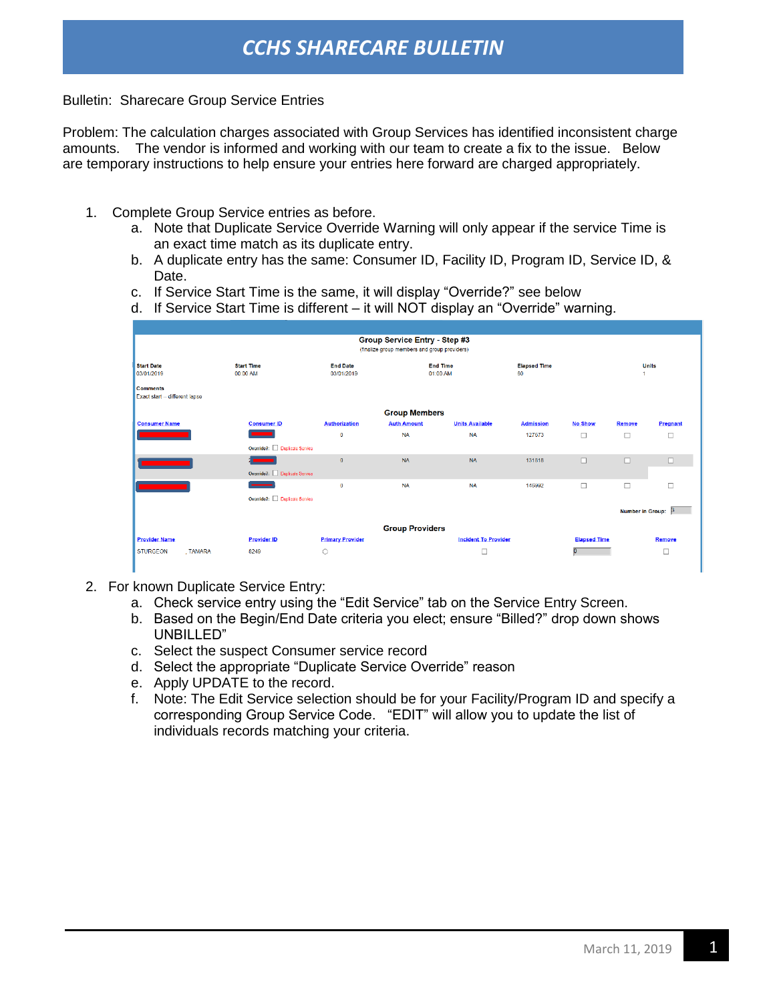## *CCHS SHARECARE BULLETIN*

Bulletin: Sharecare Group Service Entries

Problem: The calculation charges associated with Group Services has identified inconsistent charge amounts. The vendor is informed and working with our team to create a fix to the issue. Below are temporary instructions to help ensure your entries here forward are charged appropriately.

- 1. Complete Group Service entries as before.
	- a. Note that Duplicate Service Override Warning will only appear if the service Time is an exact time match as its duplicate entry.
	- b. A duplicate entry has the same: Consumer ID, Facility ID, Program ID, Service ID, & Date.
	- c. If Service Start Time is the same, it will display "Override?" see below
	- d. If Service Start Time is different it will NOT display an "Override" warning.

| Group Service Entry - Step #3                     |                              |                         |                                        |                             |                  |                     |                         |          |  |
|---------------------------------------------------|------------------------------|-------------------------|----------------------------------------|-----------------------------|------------------|---------------------|-------------------------|----------|--|
| (finalize group members and group providers)      |                              |                         |                                        |                             |                  |                     |                         |          |  |
| <b>Start Date</b>                                 | <b>Start Time</b>            | <b>End Date</b>         | <b>End Time</b><br><b>Elapsed Time</b> |                             |                  |                     | <b>Units</b>            |          |  |
| 03/01/2019                                        | 00:00 AM                     | 03/01/2019              | 01:00 AM                               |                             | 60               |                     |                         |          |  |
| <b>Comments</b><br>Exact start -- different lapse |                              |                         |                                        |                             |                  |                     |                         |          |  |
|                                                   |                              |                         | <b>Group Members</b>                   |                             |                  |                     |                         |          |  |
| <b>Consumer Name</b>                              | <b>Consumer ID</b>           | <b>Authorization</b>    | <b>Auth Amount</b>                     | <b>Units Available</b>      | <b>Admission</b> | <b>No Show</b>      | Remove                  | Pregnant |  |
|                                                   |                              | $\Omega$                | <b>NA</b>                              | <b>NA</b>                   | 127673           | $\Box$              | □                       |          |  |
|                                                   | Override?: Duplicate Service |                         |                                        |                             |                  |                     |                         |          |  |
|                                                   |                              | $\mathbf{0}$            | <b>NA</b>                              | <b>NA</b>                   | 131818           | $\Box$              | $\Box$                  | $\Box$   |  |
|                                                   | Override?: Duplicate Service |                         |                                        |                             |                  |                     |                         |          |  |
|                                                   |                              | $\mathbf{0}$            | <b>NA</b>                              | <b>NA</b>                   | 146992           | $\Box$              | □                       | □        |  |
|                                                   | Override?: Duplicate Service |                         |                                        |                             |                  |                     |                         |          |  |
|                                                   |                              |                         |                                        |                             |                  |                     | <b>Number in Group:</b> |          |  |
|                                                   |                              |                         | <b>Group Providers</b>                 |                             |                  |                     |                         |          |  |
| <b>Provider Name</b>                              | <b>Provider ID</b>           | <b>Primary Provider</b> |                                        | <b>Incident To Provider</b> |                  | <b>Elapsed Time</b> |                         | Remove   |  |
| <b>STURGEON</b><br>. TAMARA                       | 8249                         | $\circ$                 |                                        | $\Box$                      |                  |                     |                         | о        |  |
|                                                   |                              |                         |                                        |                             |                  |                     |                         |          |  |

- 2. For known Duplicate Service Entry:
	- a. Check service entry using the "Edit Service" tab on the Service Entry Screen.
	- b. Based on the Begin/End Date criteria you elect; ensure "Billed?" drop down shows UNBILLED"
	- c. Select the suspect Consumer service record
	- d. Select the appropriate "Duplicate Service Override" reason
	- e. Apply UPDATE to the record.
	- f. Note: The Edit Service selection should be for your Facility/Program ID and specify a corresponding Group Service Code. "EDIT" will allow you to update the list of individuals records matching your criteria.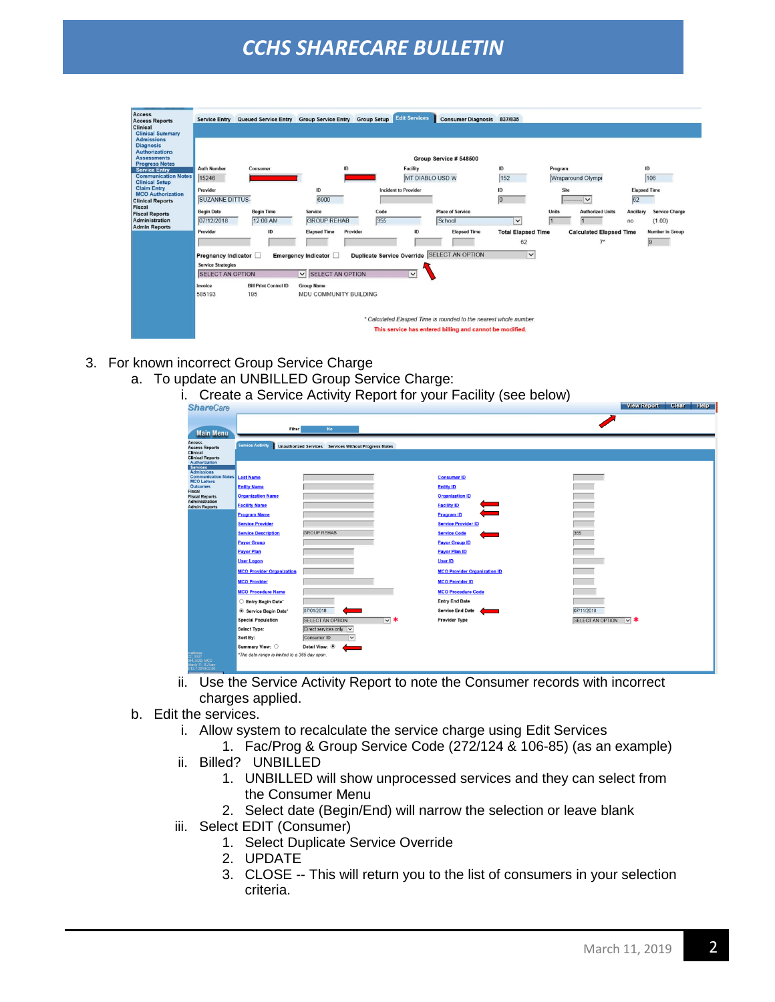## *CCHS SHARECARE BULLETIN*

| <b>Access</b><br><b>Access Reports</b><br>Clinical<br><b>Clinical Summary</b><br><b>Admissions</b>                                             |                                                                             | Service Entry Queued Service Entry Group Service Entry Group Setup |                                             |                                                                    | <b>Edit Services</b>        | Consumer Diagnosis 837/835                                                                                                    |                                 |              |                                        |                           |                                           |
|------------------------------------------------------------------------------------------------------------------------------------------------|-----------------------------------------------------------------------------|--------------------------------------------------------------------|---------------------------------------------|--------------------------------------------------------------------|-----------------------------|-------------------------------------------------------------------------------------------------------------------------------|---------------------------------|--------------|----------------------------------------|---------------------------|-------------------------------------------|
| <b>Diagnosis</b><br><b>Authorizations</b><br><b>Assessments</b><br><b>Progress Notes</b><br><b>Service Entry</b><br><b>Communication Notes</b> | ID<br><b>Auth Number</b><br>Consumer<br>15246                               |                                                                    |                                             | Group Service # 548500<br>ID<br>Facility<br><b>MT DIABLO USD W</b> |                             | 152                                                                                                                           | Program<br>Wraparound Olympi    |              | ID<br>106                              |                           |                                           |
| <b>Clinical Setup</b><br><b>Claim Entry</b><br><b>MCO</b> Authorization<br><b>Clinical Reports</b>                                             | Provider<br><b>SUZANNE DITTUS-</b>                                          |                                                                    | ID<br>6900                                  |                                                                    | <b>Incident to Provider</b> |                                                                                                                               | ID<br>$\overline{0}$            | Site         | <b>March 1989</b>                      | <b>Elapsed Time</b><br>62 |                                           |
| Fiscal<br><b>Fiscal Reports</b><br><b>Administration</b><br><b>Admin Reports</b>                                                               | <b>Begin Date</b><br>07/12/2018                                             | <b>Begin Time</b><br>12:00 AM                                      | Service<br><b>GROUP REHAB</b>               | Code<br>355                                                        |                             | <b>Place of Service</b><br>School                                                                                             | $\check{~}$                     | <b>Units</b> | <b>Authorized Units</b>                | Ancillary<br>no           | <b>Service Charge</b><br>(1.00)           |
|                                                                                                                                                | Provider                                                                    | ID                                                                 | <b>Elapsed Time</b><br>Provider             |                                                                    | ID                          | <b>Elapsed Time</b>                                                                                                           | <b>Total Elapsed Time</b><br>62 |              | <b>Calculated Elapsed Time</b><br>$7*$ |                           | <b>Number in Group</b><br>$\vert 9 \vert$ |
|                                                                                                                                                | Pregnancy Indicator<br><b>Service Strategies</b><br><b>SELECT AN OPTION</b> |                                                                    | Emergency Indicator [<br>V SELECT AN OPTION | <b>Duplicate Service Override</b>                                  | $\vee$                      | <b>SELECT AN OPTION</b>                                                                                                       | $\check{~}$                     |              |                                        |                           |                                           |
|                                                                                                                                                | Invoice<br>585193                                                           | <b>Bill Print Control ID</b><br>195                                | <b>Group Name</b><br>MDU COMMUNITY BUILDING |                                                                    |                             |                                                                                                                               |                                 |              |                                        |                           |                                           |
|                                                                                                                                                |                                                                             |                                                                    |                                             |                                                                    |                             | * Calculated Elasped Time is rounded to the nearest whole number.<br>This service has entered billing and cannot be modified. |                                 |              |                                        |                           |                                           |

- 3. For known incorrect Group Service Charge
	- a. To update an UNBILLED Group Service Charge:
		- i. Create a Service Activity Report for your Facility (see below)

| <b>ShareCare</b>                                          |                                               |                                                       | should a corvice nothing responsion your radiily (coo bolon) | View Report Clear Help           |
|-----------------------------------------------------------|-----------------------------------------------|-------------------------------------------------------|--------------------------------------------------------------|----------------------------------|
|                                                           |                                               |                                                       |                                                              |                                  |
|                                                           | Filter                                        | No                                                    |                                                              |                                  |
| <b>Main Menu</b>                                          |                                               |                                                       |                                                              |                                  |
| <b>Access</b><br><b>Access Reports</b>                    | <b>Service Activity</b>                       | Unauthorized Services Services Without Progress Notes |                                                              |                                  |
| Clinical<br><b>Clinical Reports</b>                       |                                               |                                                       |                                                              |                                  |
| Authorization<br>Services                                 |                                               |                                                       |                                                              |                                  |
| <b>Admissions</b><br><b>Communication Notes Last Name</b> |                                               |                                                       | <b>Consumer ID</b>                                           |                                  |
| <b>MCO Letters</b><br><b>Outcomes</b>                     | <b>Entity Name</b>                            |                                                       | <b>Entity ID</b>                                             |                                  |
| Fiscal<br><b>Fiscal Reports</b>                           | <b>Organization Name</b>                      |                                                       | <b>Organization ID</b>                                       |                                  |
| Administration<br><b>Admin Reports</b>                    | <b>Facility Name</b>                          |                                                       | <b>Facility ID</b>                                           | m.                               |
|                                                           | <b>Program Name</b>                           |                                                       | <b>Program ID</b>                                            |                                  |
|                                                           | <b>Service Provider</b>                       |                                                       | <b>Service Provider ID</b>                                   |                                  |
|                                                           | <b>Service Description</b>                    | <b>GROUP REHAB</b>                                    | <b>Service Code</b>                                          | 355                              |
|                                                           | <b>Payor Group</b>                            |                                                       | <b>Payor Group ID</b>                                        |                                  |
|                                                           | <b>Payor Plan</b>                             |                                                       | <b>Payor Plan ID</b>                                         | $\Rightarrow$                    |
|                                                           | <b>User Logon</b>                             |                                                       | <b>User ID</b>                                               |                                  |
|                                                           | <b>MCO Provider Organization</b>              |                                                       | <b>MCO Provider Organization ID</b>                          |                                  |
|                                                           | <b>MCO Provider</b>                           |                                                       | <b>MCO Provider ID</b>                                       |                                  |
|                                                           | <b>MCO Procedure Name</b>                     |                                                       | <b>MCO Procedure Code</b>                                    |                                  |
|                                                           | ◯ Entry Begin Date*                           |                                                       | <b>Entry End Date</b>                                        |                                  |
|                                                           | · Service Begin Date*                         | 07/01/2018                                            | <b>Service End Date</b>                                      | 07/11/2018                       |
|                                                           | <b>Special Population</b>                     | ⊽ *<br><b>SELECT AN OPTION</b>                        | Provider Type                                                | ⊺⊽∣ ≭<br><b>SELECT AN OPTION</b> |
|                                                           | Select Type:                                  | Direct services only v                                |                                                              |                                  |
|                                                           | Sort By:<br>Summary View: 0                   | Consumer ID<br>$\checkmark$<br>Detail View: ®         |                                                              |                                  |
| alloway<br>C. SUP                                         | *The date range is limited to a 365 day span. |                                                       |                                                              |                                  |
| H, AOD, MCO<br>larch 11, 8:25am<br>12.7 2019.02.05        |                                               |                                                       |                                                              |                                  |

- ii. Use the Service Activity Report to note the Consumer records with incorrect charges applied.
- b. Edit the services.
	- i. Allow system to recalculate the service charge using Edit Services
	- 1. Fac/Prog & Group Service Code (272/124 & 106-85) (as an example)
	- ii. Billed? UNBILLED
		- 1. UNBILLED will show unprocessed services and they can select from the Consumer Menu
		- 2. Select date (Begin/End) will narrow the selection or leave blank
	- iii. Select EDIT (Consumer)
		- 1. Select Duplicate Service Override
		- 2. UPDATE
		- 3. CLOSE -- This will return you to the list of consumers in your selection criteria.